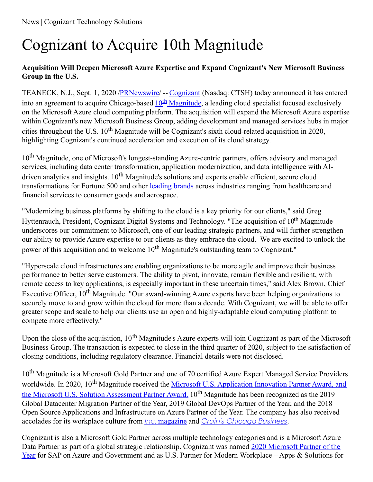# Cognizant to Acquire 10th Magnitude

## **Acquisition Will Deepen Microsoft Azure Expertise and Expand Cognizant's New Microsoft Business Group in the U.S.**

TEANECK, N.J., Sept. 1, 2020 [/PRNewswire](http://www.prnewswire.com/)/ -- [Cognizant](https://c212.net/c/link/?t=0&l=en&o=2903812-1&h=275208857&u=https%3A%2F%2Fwww.cognizant.com%2F&a=Cognizant) (Nasdaq: CTSH) today announced it has entered into an agreement to acquire Chicago-based  $10^{\text{th}}$  [Magnitude](https://c212.net/c/link/?t=0&l=en&o=2903812-1&h=4209051733&u=https%3A%2F%2Fwww.10thmagnitude.com%2F&a=10th+Magnitude), a leading cloud specialist focused exclusively on the Microsoft Azure cloud computing platform. The acquisition will expand the Microsoft Azure expertise within Cognizant's new Microsoft Business Group, adding development and managed services hubs in major cities throughout the U.S.  $10^{th}$  Magnitude will be Cognizant's sixth cloud-related acquisition in 2020, highlighting Cognizant's continued acceleration and execution of its cloud strategy.

10<sup>th</sup> Magnitude, one of Microsoft's longest-standing Azure-centric partners, offers advisory and managed services, including data center transformation, application modernization, and data intelligence with AIdriven analytics and insights. 10<sup>th</sup> Magnitude's solutions and experts enable efficient, secure cloud transformations for Fortune 500 and other [leading](https://c212.net/c/link/?t=0&l=en&o=2903812-1&h=2892475652&u=https%3A%2F%2Fwww.10thmagnitude.com%2F&a=leading+brands) brands across industries ranging from healthcare and financial services to consumer goods and aerospace.

"Modernizing business platforms by shifting to the cloud is a key priority for our clients," said Greg Hyttenrauch, President, Cognizant Digital Systems and Technology. "The acquisition of 10<sup>th</sup> Magnitude underscores our commitment to Microsoft, one of our leading strategic partners, and will further strengthen our ability to provide Azure expertise to our clients as they embrace the cloud. We are excited to unlock the power of this acquisition and to welcome 10<sup>th</sup> Magnitude's outstanding team to Cognizant."

"Hyperscale cloud infrastructures are enabling organizations to be more agile and improve their business performance to better serve customers. The ability to pivot, innovate, remain flexible and resilient, with remote access to key applications, is especially important in these uncertain times," said Alex Brown, Chief Executive Officer, 10<sup>th</sup> Magnitude. "Our award-winning Azure experts have been helping organizations to securely move to and grow within the cloud for more than a decade. With Cognizant, we will be able to offer greater scope and scale to help our clients use an open and highly-adaptable cloud computing platform to compete more effectively."

Upon the close of the acquisition, 10<sup>th</sup> Magnitude's Azure experts will join Cognizant as part of the Microsoft Business Group. The transaction is expected to close in the third quarter of 2020, subject to the satisfaction of closing conditions, including regulatory clearance. Financial details were not disclosed.

10<sup>th</sup> Magnitude is a Microsoft Gold Partner and one of 70 certified Azure Expert Managed Service Providers worldwide. In 2020, 10<sup>th</sup> Magnitude received the <u>Microsoft U.S. [Application](https://c212.net/c/link/?t=0&l=en&o=2903812-1&h=1684091767&u=https%3A%2F%2Fwww.10thmagnitude.com%2F10th-magnitude-wins-microsoft-awards%2F&a=Microsoft+U.S.+Application+Innovation+Partner+Award%2C+and+the+Microsoft+U.S.+Solution+Assessment+Partner+Award.) Innovation Partner Award, and</u> the Microsoft U.S. Solution Assessment Partner Award. 10<sup>th</sup> Magnitude has been recognized as the 2019 Global Datacenter Migration Partner of the Year, 2019 Global DevOps Partner of the Year, and the 2018 Open Source Applications and Infrastructure on Azure Partner of the Year. The company has also received accolades for its workplace culture from *Inc.* [magazine](https://c212.net/c/link/?t=0&l=en&o=2903812-1&h=4127123380&u=https%3A%2F%2Fwww.10thmagnitude.com%2F10th-magnitude-included-on-inc-magazines-2019-best-workplaces-list%2F&a=Inc.+magazine) and *Crain's [Chicago](https://c212.net/c/link/?t=0&l=en&o=2903812-1&h=2941154487&u=https%3A%2F%2Fwww.10thmagnitude.com%2F10th-magnitude-recognized-as-one-of-chicagos-fastest-growing-companies%2F&a=Crain%27s+Chicago+Business) Business*.

Cognizant is also a Microsoft Gold Partner across multiple technology categories and is a Microsoft Azure Data Partner as part of a global strategic [relationship.](https://c212.net/c/link/?t=0&l=en&o=2903812-1&h=3672343179&u=https%3A%2F%2Fnews.microsoft.com%2F2020%2F07%2F13%2Fmicrosoft-announces-2020-partner-of-the-year-awards-winners-and-finalists%2F&a=2020+Microsoft+Partner+of+the+Year) Cognizant was named 2020 Microsoft Partner of the Year for SAP on Azure and Government and as U.S. Partner for Modern Workplace – Apps & Solutions for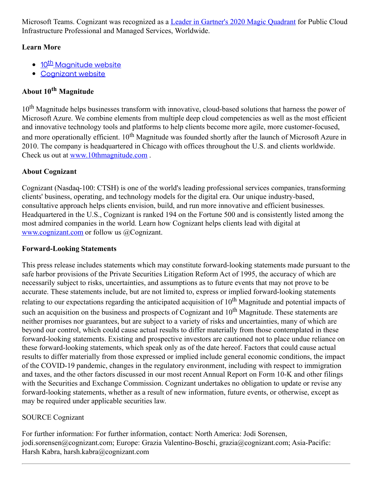Microsoft Teams. Cognizant was recognized as a Leader in [Gartner's](https://c212.net/c/link/?t=0&l=en&o=2903812-1&h=2133913020&u=https%3A%2F%2Fnews.cognizant.com%2F2020-05-27-Cognizant-Recognized-as-a-Leader-in-Gartners-2020-Magic-Quadrant-for-Public-Cloud-Infrastructure-Professional-and-Managed-Services-Worldwide&a=Leader+in+Gartner%27s+2020+Magic+Quadrant) 2020 Magic Quadrant for Public Cloud Infrastructure Professional and Managed Services, Worldwide.

## **Learn More**

- 10<sup>th</sup> [Magnitude](https://c212.net/c/link/?t=0&l=en&o=2903812-1&h=1818389539&u=https%3A%2F%2Fwww.10thmagnitude.com%2F&a=10th+Magnitude+website) website
- [Cognizant](https://c212.net/c/link/?t=0&l=en&o=2903812-1&h=1605168766&u=https%3A%2F%2Fwww.cognizant.com%2F&a=Cognizant+website) website

## **About 10 th Magnitude**

10<sup>th</sup> Magnitude helps businesses transform with innovative, cloud-based solutions that harness the power of Microsoft Azure. We combine elements from multiple deep cloud competencies as well as the most efficient and innovative technology tools and platforms to help clients become more agile, more customer-focused, and more operationally efficient. 10<sup>th</sup> Magnitude was founded shortly after the launch of Microsoft Azure in 2010. The company is headquartered in Chicago with offices throughout the U.S. and clients worldwide. Check us out at [www.10thmagnitude.com](https://c212.net/c/link/?t=0&l=en&o=2903812-1&h=2944750750&u=https%3A%2F%2Fwww.10thmagnitude.com%2F&a=www.10thmagnitude.com) .

## **About Cognizant**

Cognizant (Nasdaq-100: CTSH) is one of the world's leading professional services companies, transforming clients' business, operating, and technology models for the digital era. Our unique industry-based, consultative approach helps clients envision, build, and run more innovative and efficient businesses. Headquartered in the U.S., Cognizant is ranked 194 on the Fortune 500 and is consistently listed among the most admired companies in the world. Learn how Cognizant helps clients lead with digital at [www.cognizant.com](https://c212.net/c/link/?t=0&l=en&o=2903812-1&h=3221582534&u=http%3A%2F%2Fwww.cognizant.com%2F&a=www.cognizant.com) or follow us @Cognizant.

#### **Forward-Looking Statements**

This press release includes statements which may constitute forward-looking statements made pursuant to the safe harbor provisions of the Private Securities Litigation Reform Act of 1995, the accuracy of which are necessarily subject to risks, uncertainties, and assumptions as to future events that may not prove to be accurate. These statements include, but are not limited to, express or implied forward-looking statements relating to our expectations regarding the anticipated acquisition of 10<sup>th</sup> Magnitude and potential impacts of such an acquisition on the business and prospects of Cognizant and  $10^{th}$  Magnitude. These statements are neither promises nor guarantees, but are subject to a variety of risks and uncertainties, many of which are beyond our control, which could cause actual results to differ materially from those contemplated in these forward-looking statements. Existing and prospective investors are cautioned not to place undue reliance on these forward-looking statements, which speak only as of the date hereof. Factors that could cause actual results to differ materially from those expressed or implied include general economic conditions, the impact of the COVID-19 pandemic, changes in the regulatory environment, including with respect to immigration and taxes, and the other factors discussed in our most recent Annual Report on Form 10-K and other filings with the Securities and Exchange Commission. Cognizant undertakes no obligation to update or revise any forward-looking statements, whether as a result of new information, future events, or otherwise, except as may be required under applicable securities law.

## SOURCE Cognizant

For further information: For further information, contact: North America: Jodi Sorensen, jodi.sorensen@cognizant.com; Europe: Grazia Valentino-Boschi, grazia@cognizant.com; Asia-Pacific: Harsh Kabra, harsh.kabra@cognizant.com